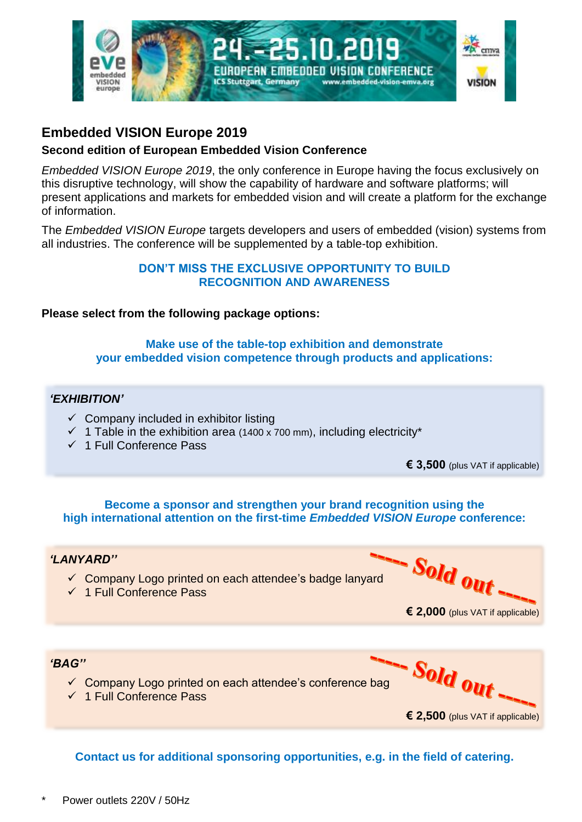

# **Embedded VISION Europe 2019**

## **Second edition of European Embedded Vision Conference**

*Embedded VISION Europe 2019*, the only conference in Europe having the focus exclusively on this disruptive technology, will show the capability of hardware and software platforms; will present applications and markets for embedded vision and will create a platform for the exchange of information.

The *Embedded VISION Europe* targets developers and users of embedded (vision) systems from all industries. The conference will be supplemented by a table-top exhibition.

#### **DON'T MISS THE EXCLUSIVE OPPORTUNITY TO BUILD RECOGNITION AND AWARENESS**

## **Please select from the following package options:**

## **Make use of the table-top exhibition and demonstrate your embedded vision competence through products and applications:**

## *'EXHIBITION'*

- $\checkmark$  Company included in exhibitor listing
- $\checkmark$  1 Table in the exhibition area (1400 x 700 mm), including electricity\*
- ✓ 1 Full Conference Pass

**€ 3,500** (plus VAT if applicable)

#### **Become a sponsor and strengthen your brand recognition using the high international attention on the first-time** *Embedded VISION Europe* **conference:**

## *'LANYARD''*

- ✓ Company Logo printed on each attendee's badge lanyard
- ✓ 1 Full Conference Pass

Sold out. **€ 2,000** (plus VAT if applicable)

Sold out.

**€ 2,500** (plus VAT if applicable)

## *'BAG''*

- ✓ Company Logo printed on each attendee's conference bag
- ✓ 1 Full Conference Pass

**Contact us for additional sponsoring opportunities, e.g. in the field of catering.**